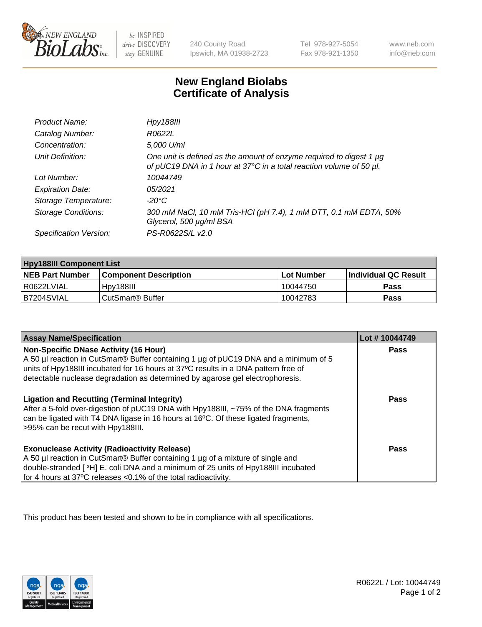

 $be$  INSPIRED drive DISCOVERY stay GENUINE

240 County Road Ipswich, MA 01938-2723 Tel 978-927-5054 Fax 978-921-1350 www.neb.com info@neb.com

## **New England Biolabs Certificate of Analysis**

| Product Name:              | Hpy188III                                                                                                                                  |
|----------------------------|--------------------------------------------------------------------------------------------------------------------------------------------|
| Catalog Number:            | R0622L                                                                                                                                     |
| Concentration:             | 5,000 U/ml                                                                                                                                 |
| Unit Definition:           | One unit is defined as the amount of enzyme required to digest 1 µg<br>of pUC19 DNA in 1 hour at 37°C in a total reaction volume of 50 µl. |
| Lot Number:                | 10044749                                                                                                                                   |
| <b>Expiration Date:</b>    | 05/2021                                                                                                                                    |
| Storage Temperature:       | -20°C                                                                                                                                      |
| <b>Storage Conditions:</b> | 300 mM NaCl, 10 mM Tris-HCl (pH 7.4), 1 mM DTT, 0.1 mM EDTA, 50%<br>Glycerol, 500 µg/ml BSA                                                |
| Specification Version:     | PS-R0622S/L v2.0                                                                                                                           |

| <b>Hpy188III Component List</b> |                              |            |                             |  |
|---------------------------------|------------------------------|------------|-----------------------------|--|
| <b>NEB Part Number</b>          | <b>Component Description</b> | Lot Number | <b>Individual QC Result</b> |  |
| I R0622LVIAL                    | Hov188III                    | 10044750   | Pass                        |  |
| IB7204SVIAL                     | CutSmart <sup>®</sup> Buffer | 10042783   | Pass                        |  |

| <b>Assay Name/Specification</b>                                                                                                                                                                                                                                                                      | Lot #10044749 |
|------------------------------------------------------------------------------------------------------------------------------------------------------------------------------------------------------------------------------------------------------------------------------------------------------|---------------|
| Non-Specific DNase Activity (16 Hour)<br>A 50 µl reaction in CutSmart® Buffer containing 1 µg of pUC19 DNA and a minimum of 5<br>units of Hpy188III incubated for 16 hours at 37°C results in a DNA pattern free of<br>detectable nuclease degradation as determined by agarose gel electrophoresis. | Pass          |
| <b>Ligation and Recutting (Terminal Integrity)</b><br>After a 5-fold over-digestion of pUC19 DNA with Hpy188III, ~75% of the DNA fragments<br>can be ligated with T4 DNA ligase in 16 hours at 16 <sup>o</sup> C. Of these ligated fragments,<br>>95% can be recut with Hpy188III.                   | Pass          |
| <b>Exonuclease Activity (Radioactivity Release)</b><br>A 50 µl reaction in CutSmart® Buffer containing 1 µg of a mixture of single and<br>double-stranded [3H] E. coli DNA and a minimum of 25 units of Hpy188III incubated<br>for 4 hours at 37°C releases <0.1% of the total radioactivity.        | Pass          |

This product has been tested and shown to be in compliance with all specifications.